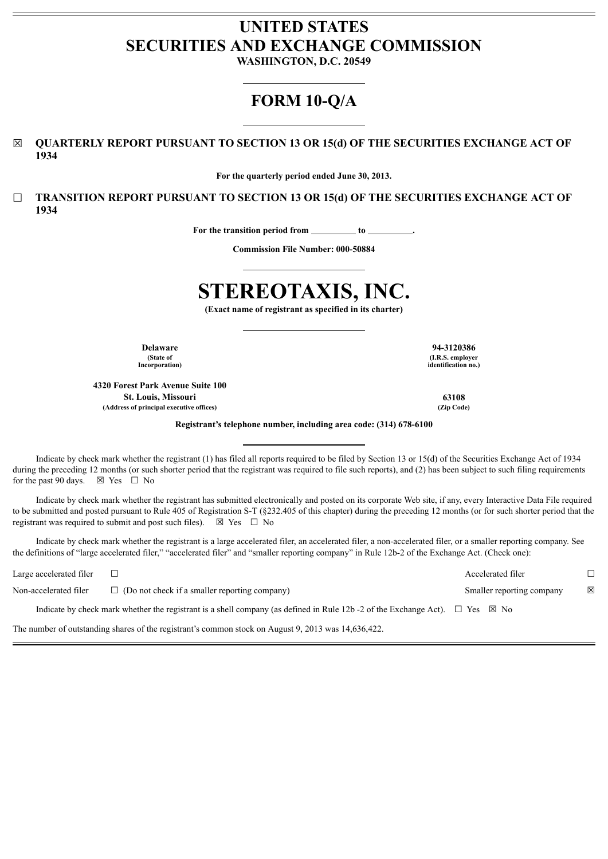# **UNITED STATES SECURITIES AND EXCHANGE COMMISSION**

**WASHINGTON, D.C. 20549**

## **FORM 10-Q/A**

☒ **QUARTERLY REPORT PURSUANT TO SECTION 13 OR 15(d) OF THE SECURITIES EXCHANGE ACT OF 1934**

**For the quarterly period ended June 30, 2013.**

☐ **TRANSITION REPORT PURSUANT TO SECTION 13 OR 15(d) OF THE SECURITIES EXCHANGE ACT OF 1934**

For the transition period from \_\_\_\_\_\_\_\_\_\_ to \_

**Commission File Number: 000-50884**

# **STEREOTAXIS, INC.**

**(Exact name of registrant as specified in its charter)**

**(State of Incorporation)**

**4320 Forest Park Avenue Suite 100 St. Louis, Missouri 63108 (Address of principal executive offices) (Zip Code)**

**Delaware 94-3120386 (I.R.S. employer identification no.)**

**Registrant's telephone number, including area code: (314) 678-6100**

Indicate by check mark whether the registrant (1) has filed all reports required to be filed by Section 13 or 15(d) of the Securities Exchange Act of 1934 during the preceding 12 months (or such shorter period that the registrant was required to file such reports), and (2) has been subject to such filing requirements for the past 90 days.  $\boxtimes$  Yes  $\Box$  No

Indicate by check mark whether the registrant has submitted electronically and posted on its corporate Web site, if any, every Interactive Data File required to be submitted and posted pursuant to Rule 405 of Registration S-T (§232.405 of this chapter) during the preceding 12 months (or for such shorter period that the registrant was required to submit and post such files).  $\boxtimes$  Yes  $\Box$  No

Indicate by check mark whether the registrant is a large accelerated filer, an accelerated filer, a non-accelerated filer, or a smaller reporting company. See the definitions of "large accelerated filer," "accelerated filer" and "smaller reporting company" in Rule 12b-2 of the Exchange Act. (Check one):

Large accelerated filer ☐ Accelerated filer ☐ Non-accelerated filer □ (Do not check if a smaller reporting company) Smaller reporting company ⊠ Indicate by check mark whether the registrant is a shell company (as defined in Rule 12b -2 of the Exchange Act).  $\Box$  Yes  $\boxtimes$  No

The number of outstanding shares of the registrant's common stock on August 9, 2013 was 14,636,422.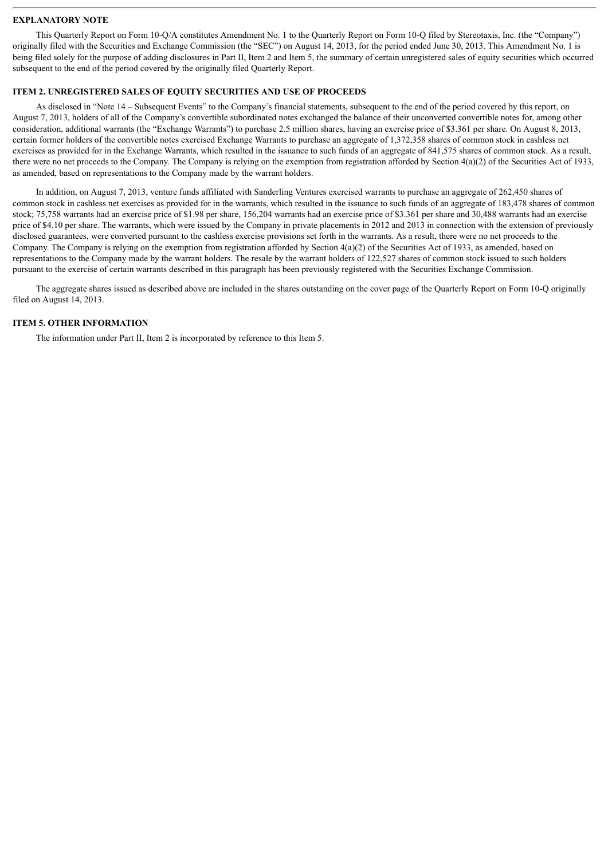#### **EXPLANATORY NOTE**

This Quarterly Report on Form 10-Q/A constitutes Amendment No. 1 to the Quarterly Report on Form 10-Q filed by Stereotaxis, Inc. (the "Company") originally filed with the Securities and Exchange Commission (the "SEC") on August 14, 2013, for the period ended June 30, 2013. This Amendment No. 1 is being filed solely for the purpose of adding disclosures in Part II, Item 2 and Item 5, the summary of certain unregistered sales of equity securities which occurred subsequent to the end of the period covered by the originally filed Quarterly Report.

#### **ITEM 2. UNREGISTERED SALES OF EQUITY SECURITIES AND USE OF PROCEEDS**

As disclosed in "Note 14 – Subsequent Events" to the Company's financial statements, subsequent to the end of the period covered by this report, on August 7, 2013, holders of all of the Company's convertible subordinated notes exchanged the balance of their unconverted convertible notes for, among other consideration, additional warrants (the "Exchange Warrants") to purchase 2.5 million shares, having an exercise price of \$3.361 per share. On August 8, 2013, certain former holders of the convertible notes exercised Exchange Warrants to purchase an aggregate of 1,372,358 shares of common stock in cashless net exercises as provided for in the Exchange Warrants, which resulted in the issuance to such funds of an aggregate of 841,575 shares of common stock. As a result, there were no net proceeds to the Company. The Company is relying on the exemption from registration afforded by Section 4(a)(2) of the Securities Act of 1933, as amended, based on representations to the Company made by the warrant holders.

In addition, on August 7, 2013, venture funds affiliated with Sanderling Ventures exercised warrants to purchase an aggregate of 262,450 shares of common stock in cashless net exercises as provided for in the warrants, which resulted in the issuance to such funds of an aggregate of 183,478 shares of common stock; 75,758 warrants had an exercise price of \$1.98 per share, 156,204 warrants had an exercise price of \$3.361 per share and 30,488 warrants had an exercise price of \$4.10 per share. The warrants, which were issued by the Company in private placements in 2012 and 2013 in connection with the extension of previously disclosed guarantees, were converted pursuant to the cashless exercise provisions set forth in the warrants. As a result, there were no net proceeds to the Company. The Company is relying on the exemption from registration afforded by Section  $4(a)(2)$  of the Securities Act of 1933, as amended, based on representations to the Company made by the warrant holders. The resale by the warrant holders of 122,527 shares of common stock issued to such holders pursuant to the exercise of certain warrants described in this paragraph has been previously registered with the Securities Exchange Commission.

The aggregate shares issued as described above are included in the shares outstanding on the cover page of the Quarterly Report on Form 10-Q originally filed on August 14, 2013.

#### **ITEM 5. OTHER INFORMATION**

The information under Part II, Item 2 is incorporated by reference to this Item 5.